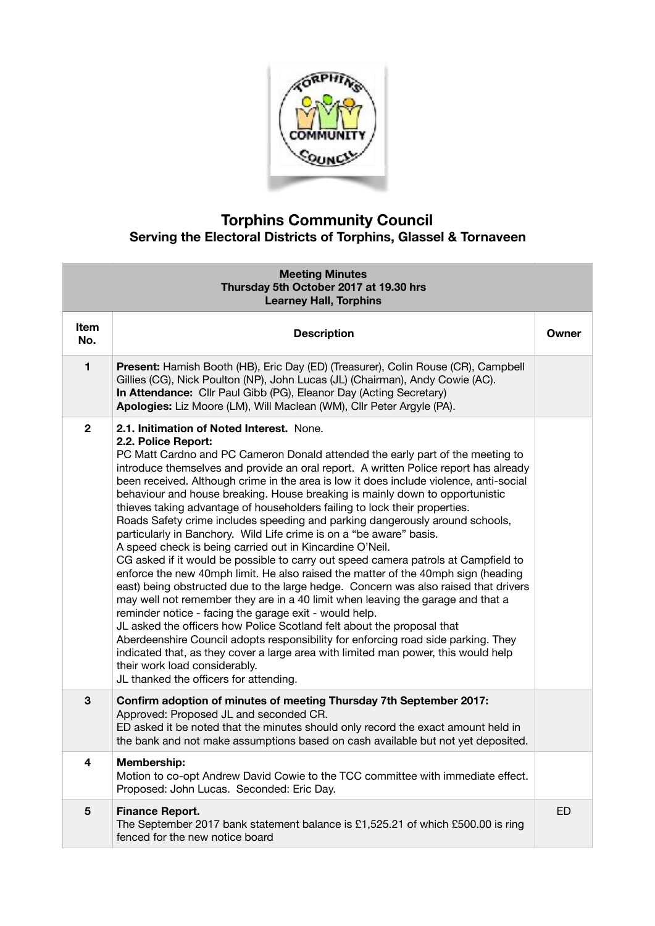

## **Torphins Community Council Serving the Electoral Districts of Torphins, Glassel & Tornaveen**

| <b>Meeting Minutes</b><br>Thursday 5th October 2017 at 19.30 hrs<br><b>Learney Hall, Torphins</b> |                                                                                                                                                                                                                                                                                                                                                                                                                                                                                                                                                                                                                                                                                                                                                                                                                                                                                                                                                                                                                                                                                                                                                                                                                                                                                                                                                                                                                                                                      |       |  |
|---------------------------------------------------------------------------------------------------|----------------------------------------------------------------------------------------------------------------------------------------------------------------------------------------------------------------------------------------------------------------------------------------------------------------------------------------------------------------------------------------------------------------------------------------------------------------------------------------------------------------------------------------------------------------------------------------------------------------------------------------------------------------------------------------------------------------------------------------------------------------------------------------------------------------------------------------------------------------------------------------------------------------------------------------------------------------------------------------------------------------------------------------------------------------------------------------------------------------------------------------------------------------------------------------------------------------------------------------------------------------------------------------------------------------------------------------------------------------------------------------------------------------------------------------------------------------------|-------|--|
| Item<br>No.                                                                                       | <b>Description</b>                                                                                                                                                                                                                                                                                                                                                                                                                                                                                                                                                                                                                                                                                                                                                                                                                                                                                                                                                                                                                                                                                                                                                                                                                                                                                                                                                                                                                                                   | Owner |  |
| $\mathbf{1}$                                                                                      | Present: Hamish Booth (HB), Eric Day (ED) (Treasurer), Colin Rouse (CR), Campbell<br>Gillies (CG), Nick Poulton (NP), John Lucas (JL) (Chairman), Andy Cowie (AC).<br>In Attendance: Cllr Paul Gibb (PG), Eleanor Day (Acting Secretary)<br>Apologies: Liz Moore (LM), Will Maclean (WM), Cllr Peter Argyle (PA).                                                                                                                                                                                                                                                                                                                                                                                                                                                                                                                                                                                                                                                                                                                                                                                                                                                                                                                                                                                                                                                                                                                                                    |       |  |
| $\overline{2}$                                                                                    | 2.1. Initimation of Noted Interest. None.<br>2.2. Police Report:<br>PC Matt Cardno and PC Cameron Donald attended the early part of the meeting to<br>introduce themselves and provide an oral report. A written Police report has already<br>been received. Although crime in the area is low it does include violence, anti-social<br>behaviour and house breaking. House breaking is mainly down to opportunistic<br>thieves taking advantage of householders failing to lock their properties.<br>Roads Safety crime includes speeding and parking dangerously around schools,<br>particularly in Banchory. Wild Life crime is on a "be aware" basis.<br>A speed check is being carried out in Kincardine O'Neil.<br>CG asked if it would be possible to carry out speed camera patrols at Campfield to<br>enforce the new 40mph limit. He also raised the matter of the 40mph sign (heading<br>east) being obstructed due to the large hedge. Concern was also raised that drivers<br>may well not remember they are in a 40 limit when leaving the garage and that a<br>reminder notice - facing the garage exit - would help.<br>JL asked the officers how Police Scotland felt about the proposal that<br>Aberdeenshire Council adopts responsibility for enforcing road side parking. They<br>indicated that, as they cover a large area with limited man power, this would help<br>their work load considerably.<br>JL thanked the officers for attending. |       |  |
| 3                                                                                                 | Confirm adoption of minutes of meeting Thursday 7th September 2017:<br>Approved: Proposed JL and seconded CR.<br>ED asked it be noted that the minutes should only record the exact amount held in<br>the bank and not make assumptions based on cash available but not yet deposited.                                                                                                                                                                                                                                                                                                                                                                                                                                                                                                                                                                                                                                                                                                                                                                                                                                                                                                                                                                                                                                                                                                                                                                               |       |  |
| 4                                                                                                 | Membership:<br>Motion to co-opt Andrew David Cowie to the TCC committee with immediate effect.<br>Proposed: John Lucas. Seconded: Eric Day.                                                                                                                                                                                                                                                                                                                                                                                                                                                                                                                                                                                                                                                                                                                                                                                                                                                                                                                                                                                                                                                                                                                                                                                                                                                                                                                          |       |  |
| $\bf 5$                                                                                           | <b>Finance Report.</b><br>The September 2017 bank statement balance is £1,525.21 of which £500.00 is ring<br>fenced for the new notice board                                                                                                                                                                                                                                                                                                                                                                                                                                                                                                                                                                                                                                                                                                                                                                                                                                                                                                                                                                                                                                                                                                                                                                                                                                                                                                                         | ED    |  |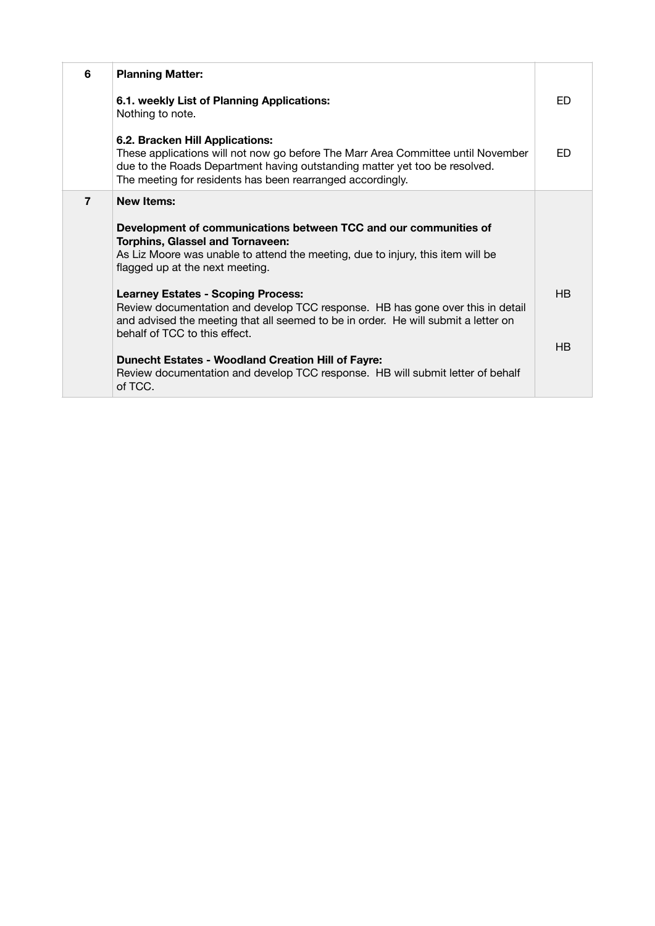| 6              | <b>Planning Matter:</b>                                                                                                                                                                                                                                         |           |
|----------------|-----------------------------------------------------------------------------------------------------------------------------------------------------------------------------------------------------------------------------------------------------------------|-----------|
|                | 6.1. weekly List of Planning Applications:<br>Nothing to note.                                                                                                                                                                                                  | ED        |
|                | 6.2. Bracken Hill Applications:<br>These applications will not now go before The Marr Area Committee until November<br>due to the Roads Department having outstanding matter yet too be resolved.<br>The meeting for residents has been rearranged accordingly. | FD.       |
| $\overline{7}$ | <b>New Items:</b><br>Development of communications between TCC and our communities of<br><b>Torphins, Glassel and Tornaveen:</b><br>As Liz Moore was unable to attend the meeting, due to injury, this item will be<br>flagged up at the next meeting.          |           |
|                | <b>Learney Estates - Scoping Process:</b><br>Review documentation and develop TCC response. HB has gone over this in detail<br>and advised the meeting that all seemed to be in order. He will submit a letter on<br>behalf of TCC to this effect.              | <b>HB</b> |
|                | <b>Dunecht Estates - Woodland Creation Hill of Fayre:</b><br>Review documentation and develop TCC response. HB will submit letter of behalf<br>of TCC.                                                                                                          | HB        |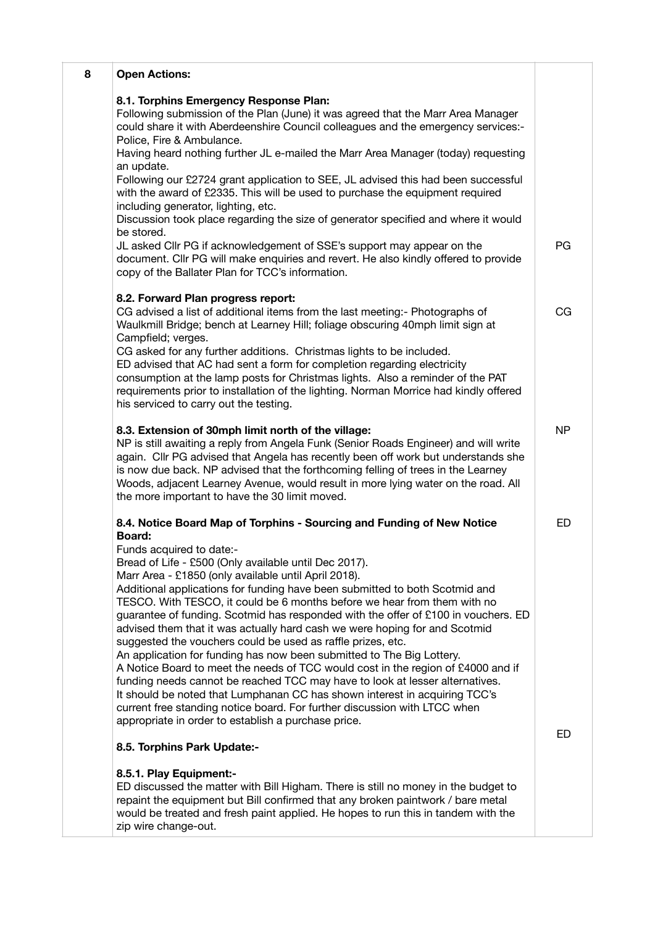| 8 | <b>Open Actions:</b>                                                                                                                                                                                                                                                                                                                                                                                                                                                                                                                                                                                                               |                |
|---|------------------------------------------------------------------------------------------------------------------------------------------------------------------------------------------------------------------------------------------------------------------------------------------------------------------------------------------------------------------------------------------------------------------------------------------------------------------------------------------------------------------------------------------------------------------------------------------------------------------------------------|----------------|
|   | 8.1. Torphins Emergency Response Plan:<br>Following submission of the Plan (June) it was agreed that the Marr Area Manager<br>could share it with Aberdeenshire Council colleagues and the emergency services:-<br>Police, Fire & Ambulance.                                                                                                                                                                                                                                                                                                                                                                                       |                |
|   | Having heard nothing further JL e-mailed the Marr Area Manager (today) requesting<br>an update.                                                                                                                                                                                                                                                                                                                                                                                                                                                                                                                                    |                |
|   | Following our £2724 grant application to SEE, JL advised this had been successful<br>with the award of £2335. This will be used to purchase the equipment required<br>including generator, lighting, etc.                                                                                                                                                                                                                                                                                                                                                                                                                          |                |
|   | Discussion took place regarding the size of generator specified and where it would<br>be stored.                                                                                                                                                                                                                                                                                                                                                                                                                                                                                                                                   |                |
|   | JL asked Cllr PG if acknowledgement of SSE's support may appear on the<br>document. Cllr PG will make enquiries and revert. He also kindly offered to provide<br>copy of the Ballater Plan for TCC's information.                                                                                                                                                                                                                                                                                                                                                                                                                  | PG             |
|   | 8.2. Forward Plan progress report:<br>CG advised a list of additional items from the last meeting:- Photographs of<br>Waulkmill Bridge; bench at Learney Hill; foliage obscuring 40mph limit sign at                                                                                                                                                                                                                                                                                                                                                                                                                               | CG             |
|   | Campfield; verges.<br>CG asked for any further additions. Christmas lights to be included.<br>ED advised that AC had sent a form for completion regarding electricity<br>consumption at the lamp posts for Christmas lights. Also a reminder of the PAT<br>requirements prior to installation of the lighting. Norman Morrice had kindly offered<br>his serviced to carry out the testing.                                                                                                                                                                                                                                         |                |
|   | 8.3. Extension of 30mph limit north of the village:<br>NP is still awaiting a reply from Angela Funk (Senior Roads Engineer) and will write<br>again. Cllr PG advised that Angela has recently been off work but understands she<br>is now due back. NP advised that the forthcoming felling of trees in the Learney<br>Woods, adjacent Learney Avenue, would result in more lying water on the road. All<br>the more important to have the 30 limit moved.                                                                                                                                                                        | N <sub>P</sub> |
|   | 8.4. Notice Board Map of Torphins - Sourcing and Funding of New Notice<br><b>Board:</b><br>Funds acquired to date:-<br>Bread of Life - £500 (Only available until Dec 2017).<br>Marr Area - £1850 (only available until April 2018).<br>Additional applications for funding have been submitted to both Scotmid and<br>TESCO. With TESCO, it could be 6 months before we hear from them with no<br>guarantee of funding. Scotmid has responded with the offer of £100 in vouchers. ED<br>advised them that it was actually hard cash we were hoping for and Scotmid<br>suggested the vouchers could be used as raffle prizes, etc. | ED             |
|   | An application for funding has now been submitted to The Big Lottery.<br>A Notice Board to meet the needs of TCC would cost in the region of £4000 and if<br>funding needs cannot be reached TCC may have to look at lesser alternatives.<br>It should be noted that Lumphanan CC has shown interest in acquiring TCC's<br>current free standing notice board. For further discussion with LTCC when<br>appropriate in order to establish a purchase price.                                                                                                                                                                        | ED             |
|   | 8.5. Torphins Park Update:-                                                                                                                                                                                                                                                                                                                                                                                                                                                                                                                                                                                                        |                |
|   | 8.5.1. Play Equipment:-<br>ED discussed the matter with Bill Higham. There is still no money in the budget to<br>repaint the equipment but Bill confirmed that any broken paintwork / bare metal<br>would be treated and fresh paint applied. He hopes to run this in tandem with the<br>zip wire change-out.                                                                                                                                                                                                                                                                                                                      |                |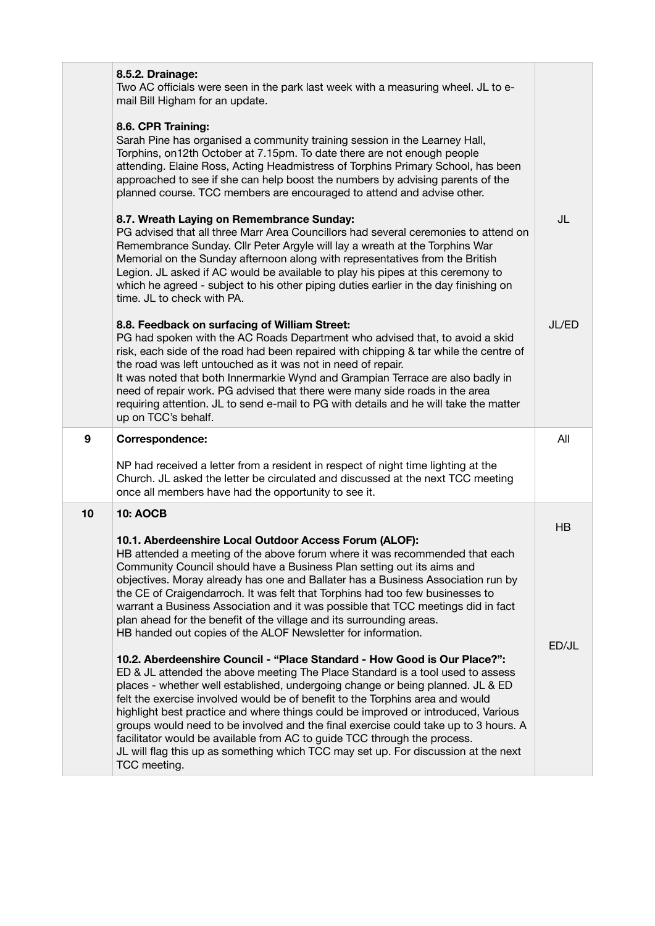|    | 8.5.2. Drainage:<br>Two AC officials were seen in the park last week with a measuring wheel. JL to e-<br>mail Bill Higham for an update.<br>8.6. CPR Training:<br>Sarah Pine has organised a community training session in the Learney Hall,<br>Torphins, on 12th October at 7.15pm. To date there are not enough people<br>attending. Elaine Ross, Acting Headmistress of Torphins Primary School, has been<br>approached to see if she can help boost the numbers by advising parents of the<br>planned course. TCC members are encouraged to attend and advise other.                                                                                                                                                                                                                                                                                         |       |
|----|------------------------------------------------------------------------------------------------------------------------------------------------------------------------------------------------------------------------------------------------------------------------------------------------------------------------------------------------------------------------------------------------------------------------------------------------------------------------------------------------------------------------------------------------------------------------------------------------------------------------------------------------------------------------------------------------------------------------------------------------------------------------------------------------------------------------------------------------------------------|-------|
|    | 8.7. Wreath Laying on Remembrance Sunday:<br>PG advised that all three Marr Area Councillors had several ceremonies to attend on<br>Remembrance Sunday. Cllr Peter Argyle will lay a wreath at the Torphins War<br>Memorial on the Sunday afternoon along with representatives from the British<br>Legion. JL asked if AC would be available to play his pipes at this ceremony to<br>which he agreed - subject to his other piping duties earlier in the day finishing on<br>time. JL to check with PA.                                                                                                                                                                                                                                                                                                                                                         | JL    |
|    | 8.8. Feedback on surfacing of William Street:<br>PG had spoken with the AC Roads Department who advised that, to avoid a skid<br>risk, each side of the road had been repaired with chipping & tar while the centre of<br>the road was left untouched as it was not in need of repair.<br>It was noted that both Innermarkie Wynd and Grampian Terrace are also badly in<br>need of repair work. PG advised that there were many side roads in the area<br>requiring attention. JL to send e-mail to PG with details and he will take the matter<br>up on TCC's behalf.                                                                                                                                                                                                                                                                                          | JL/ED |
| 9  | Correspondence:                                                                                                                                                                                                                                                                                                                                                                                                                                                                                                                                                                                                                                                                                                                                                                                                                                                  | All   |
|    | NP had received a letter from a resident in respect of night time lighting at the<br>Church. JL asked the letter be circulated and discussed at the next TCC meeting<br>once all members have had the opportunity to see it.                                                                                                                                                                                                                                                                                                                                                                                                                                                                                                                                                                                                                                     |       |
| 10 | <b>10: AOCB</b>                                                                                                                                                                                                                                                                                                                                                                                                                                                                                                                                                                                                                                                                                                                                                                                                                                                  | HB    |
|    | 10.1. Aberdeenshire Local Outdoor Access Forum (ALOF):<br>HB attended a meeting of the above forum where it was recommended that each<br>Community Council should have a Business Plan setting out its aims and<br>objectives. Moray already has one and Ballater has a Business Association run by<br>the CE of Craigendarroch. It was felt that Torphins had too few businesses to<br>warrant a Business Association and it was possible that TCC meetings did in fact<br>plan ahead for the benefit of the village and its surrounding areas.<br>HB handed out copies of the ALOF Newsletter for information.<br>10.2. Aberdeenshire Council - "Place Standard - How Good is Our Place?":<br>ED & JL attended the above meeting The Place Standard is a tool used to assess<br>places - whether well established, undergoing change or being planned. JL & ED | ED/JL |
|    | felt the exercise involved would be of benefit to the Torphins area and would<br>highlight best practice and where things could be improved or introduced, Various<br>groups would need to be involved and the final exercise could take up to 3 hours. A<br>facilitator would be available from AC to guide TCC through the process.<br>JL will flag this up as something which TCC may set up. For discussion at the next<br>TCC meeting.                                                                                                                                                                                                                                                                                                                                                                                                                      |       |